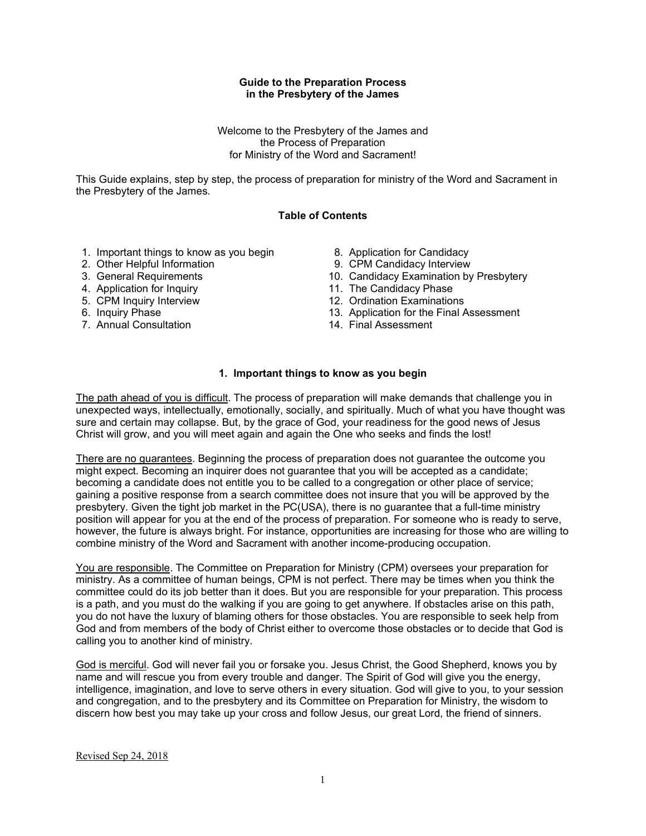### **Guide to the Preparation Process in the Presbytery of the James**

Welcome to the Presbytery of the James and the Process of Preparation for Ministry of the Word and Sacrament!

This Guide explains, step by step, the process of preparation for ministry of the Word and Sacrament in the Presbytery of the James.

# **Table of Contents**

- 1. Important things to know as you begin
- 2. Other Helpful Information
- 3. General Requirements
- 4. Application for Inquiry
- 5. CPM Inquiry Interview
- 6. Inquiry Phase
- 7. Annual Consultation
- 8. Application for Candidacy
- 9. CPM Candidacy Interview
- 10. Candidacy Examination by Presbytery
- 11. The Candidacy Phase
- 12. Ordination Examinations
- 13. Application for the Final Assessment
- 14. Final Assessment

### **1. Important things to know as you begin**

The path ahead of you is difficult. The process of preparation will make demands that challenge you in unexpected ways, intellectually, emotionally, socially, and spiritually. Much of what you have thought was sure and certain may collapse. But, by the grace of God, your readiness for the good news of Jesus Christ will grow, and you will meet again and again the One who seeks and finds the lost!

There are no guarantees. Beginning the process of preparation does not guarantee the outcome you might expect. Becoming an inquirer does not guarantee that you will be accepted as a candidate; becoming a candidate does not entitle you to be called to a congregation or other place of service; gaining a positive response from a search committee does not insure that you will be approved by the presbytery. Given the tight job market in the PC(USA), there is no guarantee that a full-time ministry position will appear for you at the end of the process of preparation. For someone who is ready to serve, however, the future is always bright. For instance, opportunities are increasing for those who are willing to combine ministry of the Word and Sacrament with another income-producing occupation.

You are responsible. The Committee on Preparation for Ministry (CPM) oversees your preparation for ministry. As a committee of human beings, CPM is not perfect. There may be times when you think the committee could do its job better than it does. But you are responsible for your preparation. This process is a path, and you must do the walking if you are going to get anywhere. If obstacles arise on this path, you do not have the luxury of blaming others for those obstacles. You are responsible to seek help from God and from members of the body of Christ either to overcome those obstacles or to decide that God is calling you to another kind of ministry.

God is merciful. God will never fail you or forsake you. Jesus Christ, the Good Shepherd, knows you by name and will rescue you from every trouble and danger. The Spirit of God will give you the energy, intelligence, imagination, and love to serve others in every situation. God will give to you, to your session and congregation, and to the presbytery and its Committee on Preparation for Ministry, the wisdom to discern how best you may take up your cross and follow Jesus, our great Lord, the friend of sinners.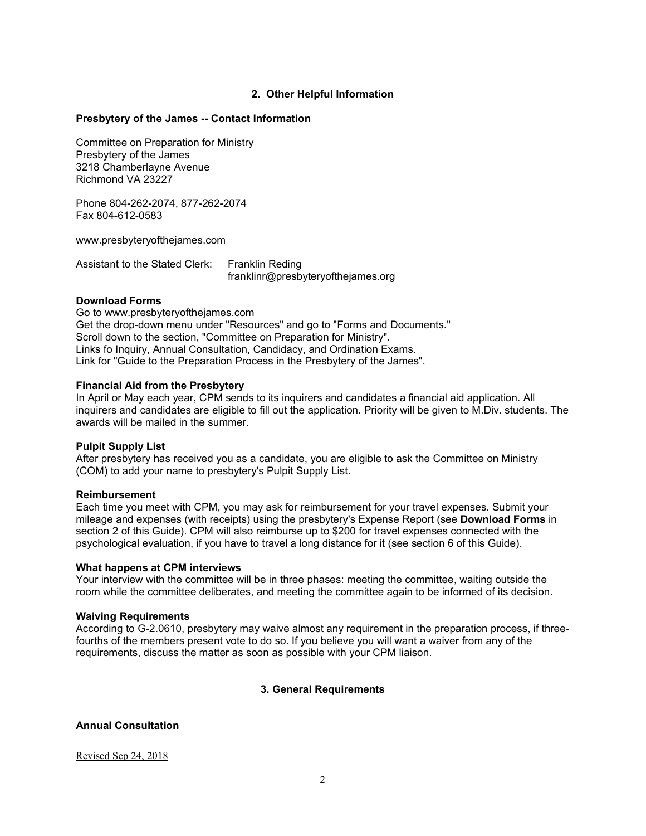## **2. Other Helpful Information**

### **Presbytery of the James -- Contact Information**

Committee on Preparation for Ministry Presbytery of the James 3218 Chamberlayne Avenue Richmond VA 23227

Phone 804-262-2074, 877-262-2074 Fax 804-612-0583

www.presbyteryofthejames.com

Assistant to the Stated Clerk: Franklin Reding franklinr@presbyteryofthejames.org

### **Download Forms**

Go to www.presbyteryofthejames.com Get the drop-down menu under "Resources" and go to "Forms and Documents." Scroll down to the section, "Committee on Preparation for Ministry". Links fo Inquiry, Annual Consultation, Candidacy, and Ordination Exams. Link for "Guide to the Preparation Process in the Presbytery of the James".

#### **Financial Aid from the Presbytery**

In April or May each year, CPM sends to its inquirers and candidates a financial aid application. All inquirers and candidates are eligible to fill out the application. Priority will be given to M.Div. students. The awards will be mailed in the summer.

#### **Pulpit Supply List**

After presbytery has received you as a candidate, you are eligible to ask the Committee on Ministry (COM) to add your name to presbytery's Pulpit Supply List.

#### **Reimbursement**

Each time you meet with CPM, you may ask for reimbursement for your travel expenses. Submit your mileage and expenses (with receipts) using the presbytery's Expense Report (see **Download Forms** in section 2 of this Guide). CPM will also reimburse up to \$200 for travel expenses connected with the psychological evaluation, if you have to travel a long distance for it (see section 6 of this Guide).

#### **What happens at CPM interviews**

Your interview with the committee will be in three phases: meeting the committee, waiting outside the room while the committee deliberates, and meeting the committee again to be informed of its decision.

#### **Waiving Requirements**

According to G-2.0610, presbytery may waive almost any requirement in the preparation process, if threefourths of the members present vote to do so. If you believe you will want a waiver from any of the requirements, discuss the matter as soon as possible with your CPM liaison.

### **3. General Requirements**

# **Annual Consultation**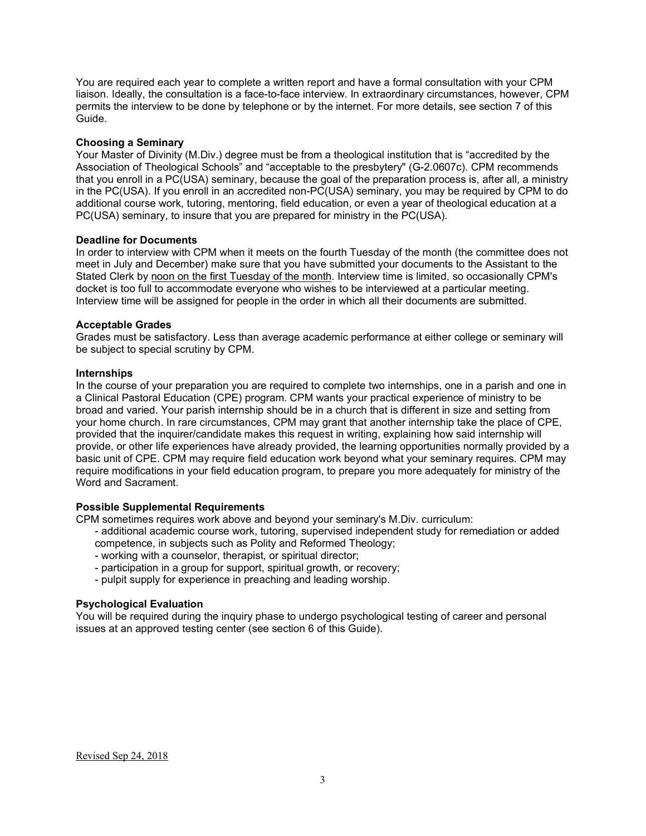You are required each year to complete a written report and have a formal consultation with your CPM liaison. Ideally, the consultation is a face-to-face interview. In extraordinary circumstances, however, CPM permits the interview to be done by telephone or by the internet. For more details, see section 7 of this Guide.

### **Choosing a Seminary**

Your Master of Divinity (M.Div.) degree must be from a theological institution that is "accredited by the Association of Theological Schools" and "acceptable to the presbytery" (G-2.0607c). CPM recommends that you enroll in a PC(USA) seminary, because the goal of the preparation process is, after all, a ministry in the PC(USA). If you enroll in an accredited non-PC(USA) seminary, you may be required by CPM to do additional course work, tutoring, mentoring, field education, or even a year of theological education at a PC(USA) seminary, to insure that you are prepared for ministry in the PC(USA).

### **Deadline for Documents**

In order to interview with CPM when it meets on the fourth Tuesday of the month (the committee does not meet in July and December) make sure that you have submitted your documents to the Assistant to the Stated Clerk by noon on the first Tuesday of the month. Interview time is limited, so occasionally CPM's docket is too full to accommodate everyone who wishes to be interviewed at a particular meeting. Interview time will be assigned for people in the order in which all their documents are submitted.

## **Acceptable Grades**

Grades must be satisfactory. Less than average academic performance at either college or seminary will be subject to special scrutiny by CPM.

## **Internships**

In the course of your preparation you are required to complete two internships, one in a parish and one in a Clinical Pastoral Education (CPE) program. CPM wants your practical experience of ministry to be broad and varied. Your parish internship should be in a church that is different in size and setting from your home church. In rare circumstances, CPM may grant that another internship take the place of CPE, provided that the inquirer/candidate makes this request in writing, explaining how said internship will provide, or other life experiences have already provided, the learning opportunities normally provided by a basic unit of CPE. CPM may require field education work beyond what your seminary requires. CPM may require modifications in your field education program, to prepare you more adequately for ministry of the Word and Sacrament.

### **Possible Supplemental Requirements**

CPM sometimes requires work above and beyond your seminary's M.Div. curriculum:

- additional academic course work, tutoring, supervised independent study for remediation or added competence, in subjects such as Polity and Reformed Theology;
- working with a counselor, therapist, or spiritual director;
- participation in a group for support, spiritual growth, or recovery;
- pulpit supply for experience in preaching and leading worship.

# **Psychological Evaluation**

You will be required during the inquiry phase to undergo psychological testing of career and personal issues at an approved testing center (see section 6 of this Guide).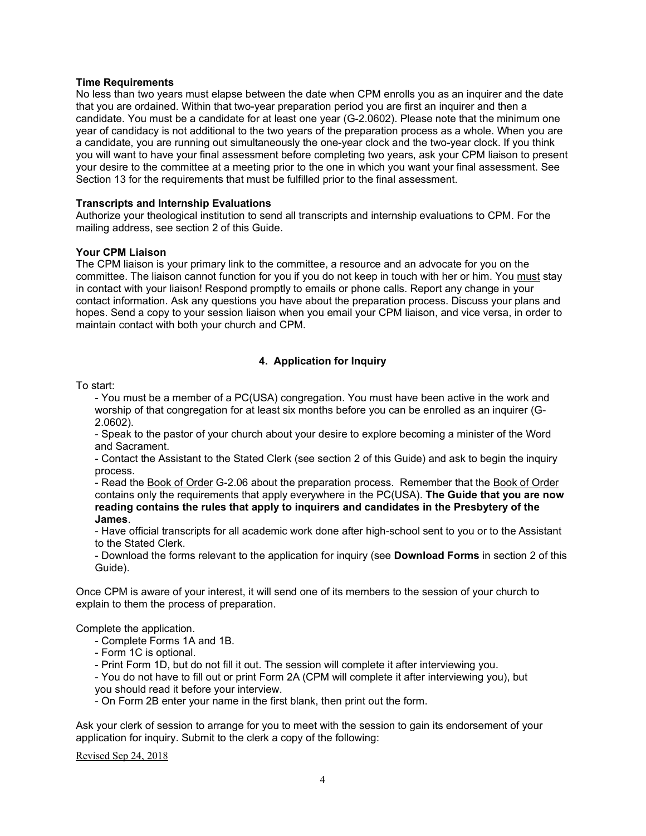### **Time Requirements**

No less than two years must elapse between the date when CPM enrolls you as an inquirer and the date that you are ordained. Within that two-year preparation period you are first an inquirer and then a candidate. You must be a candidate for at least one year (G-2.0602). Please note that the minimum one year of candidacy is not additional to the two years of the preparation process as a whole. When you are a candidate, you are running out simultaneously the one-year clock and the two-year clock. If you think you will want to have your final assessment before completing two years, ask your CPM liaison to present your desire to the committee at a meeting prior to the one in which you want your final assessment. See Section 13 for the requirements that must be fulfilled prior to the final assessment.

### **Transcripts and Internship Evaluations**

Authorize your theological institution to send all transcripts and internship evaluations to CPM. For the mailing address, see section 2 of this Guide.

### **Your CPM Liaison**

The CPM liaison is your primary link to the committee, a resource and an advocate for you on the committee. The liaison cannot function for you if you do not keep in touch with her or him. You must stay in contact with your liaison! Respond promptly to emails or phone calls. Report any change in your contact information. Ask any questions you have about the preparation process. Discuss your plans and hopes. Send a copy to your session liaison when you email your CPM liaison, and vice versa, in order to maintain contact with both your church and CPM.

## **4. Application for Inquiry**

### To start:

- You must be a member of a PC(USA) congregation. You must have been active in the work and worship of that congregation for at least six months before you can be enrolled as an inquirer (G-2.0602).

- Speak to the pastor of your church about your desire to explore becoming a minister of the Word and Sacrament.

- Contact the Assistant to the Stated Clerk (see section 2 of this Guide) and ask to begin the inquiry process.

- Read the Book of Order G-2.06 about the preparation process. Remember that the Book of Order contains only the requirements that apply everywhere in the PC(USA). **The Guide that you are now reading contains the rules that apply to inquirers and candidates in the Presbytery of the James**.

- Have official transcripts for all academic work done after high-school sent to you or to the Assistant to the Stated Clerk.

- Download the forms relevant to the application for inquiry (see **Download Forms** in section 2 of this Guide).

Once CPM is aware of your interest, it will send one of its members to the session of your church to explain to them the process of preparation.

Complete the application.

- Complete Forms 1A and 1B.
- Form 1C is optional.

- Print Form 1D, but do not fill it out. The session will complete it after interviewing you.

 - You do not have to fill out or print Form 2A (CPM will complete it after interviewing you), but you should read it before your interview.

- On Form 2B enter your name in the first blank, then print out the form.

Ask your clerk of session to arrange for you to meet with the session to gain its endorsement of your application for inquiry. Submit to the clerk a copy of the following: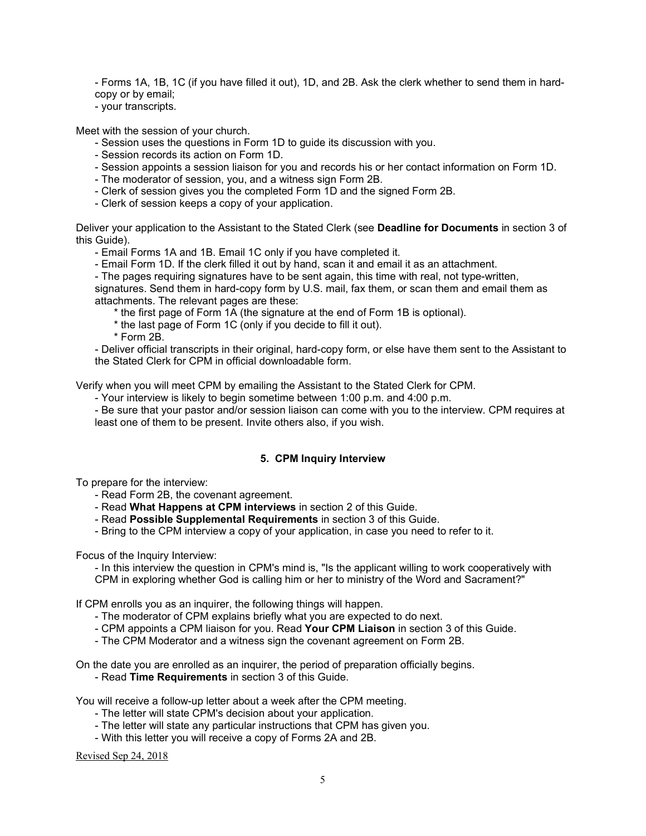- Forms 1A, 1B, 1C (if you have filled it out), 1D, and 2B. Ask the clerk whether to send them in hardcopy or by email;

- your transcripts.

Meet with the session of your church.

- Session uses the questions in Form 1D to guide its discussion with you.
- Session records its action on Form 1D.
- Session appoints a session liaison for you and records his or her contact information on Form 1D.
- The moderator of session, you, and a witness sign Form 2B.
- Clerk of session gives you the completed Form 1D and the signed Form 2B.
- Clerk of session keeps a copy of your application.

Deliver your application to the Assistant to the Stated Clerk (see **Deadline for Documents** in section 3 of this Guide).

- Email Forms 1A and 1B. Email 1C only if you have completed it.

- Email Form 1D. If the clerk filled it out by hand, scan it and email it as an attachment.

- The pages requiring signatures have to be sent again, this time with real, not type-written,

signatures. Send them in hard-copy form by U.S. mail, fax them, or scan them and email them as attachments. The relevant pages are these:

\* the first page of Form 1A (the signature at the end of Form 1B is optional).

\* the last page of Form 1C (only if you decide to fill it out).

\* Form 2B.

- Deliver official transcripts in their original, hard-copy form, or else have them sent to the Assistant to the Stated Clerk for CPM in official downloadable form.

Verify when you will meet CPM by emailing the Assistant to the Stated Clerk for CPM.

- Your interview is likely to begin sometime between 1:00 p.m. and 4:00 p.m.

- Be sure that your pastor and/or session liaison can come with you to the interview. CPM requires at least one of them to be present. Invite others also, if you wish.

# **5. CPM Inquiry Interview**

To prepare for the interview:

- Read Form 2B, the covenant agreement.
- Read **What Happens at CPM interviews** in section 2 of this Guide.
- Read **Possible Supplemental Requirements** in section 3 of this Guide.
- Bring to the CPM interview a copy of your application, in case you need to refer to it.

Focus of the Inquiry Interview:

- In this interview the question in CPM's mind is, "Is the applicant willing to work cooperatively with CPM in exploring whether God is calling him or her to ministry of the Word and Sacrament?"

If CPM enrolls you as an inquirer, the following things will happen.

- The moderator of CPM explains briefly what you are expected to do next.
- CPM appoints a CPM liaison for you. Read **Your CPM Liaison** in section 3 of this Guide.
- The CPM Moderator and a witness sign the covenant agreement on Form 2B.

On the date you are enrolled as an inquirer, the period of preparation officially begins.

- Read **Time Requirements** in section 3 of this Guide.

You will receive a follow-up letter about a week after the CPM meeting.

- The letter will state CPM's decision about your application.
- The letter will state any particular instructions that CPM has given you.
- With this letter you will receive a copy of Forms 2A and 2B.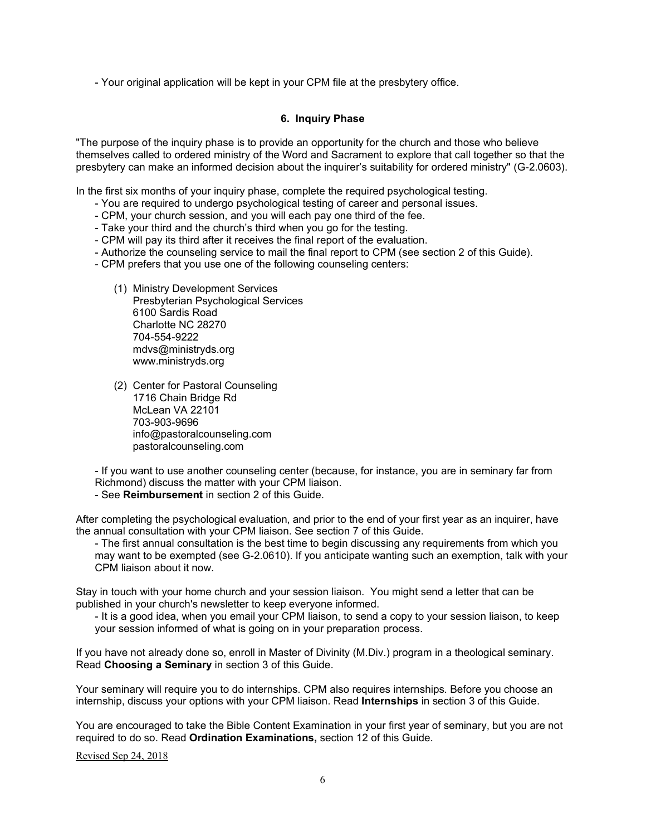- Your original application will be kept in your CPM file at the presbytery office.

## **6. Inquiry Phase**

"The purpose of the inquiry phase is to provide an opportunity for the church and those who believe themselves called to ordered ministry of the Word and Sacrament to explore that call together so that the presbytery can make an informed decision about the inquirer's suitability for ordered ministry" (G-2.0603).

In the first six months of your inquiry phase, complete the required psychological testing.

- You are required to undergo psychological testing of career and personal issues.
- CPM, your church session, and you will each pay one third of the fee.
- Take your third and the church's third when you go for the testing.
- CPM will pay its third after it receives the final report of the evaluation.
- Authorize the counseling service to mail the final report to CPM (see section 2 of this Guide).
- CPM prefers that you use one of the following counseling centers:
	- (1) Ministry Development Services Presbyterian Psychological Services 6100 Sardis Road Charlotte NC 28270 704-554-9222 mdvs@ministryds.org www.ministryds.org
	- (2) Center for Pastoral Counseling 1716 Chain Bridge Rd McLean VA 22101 703-903-9696 info@pastoralcounseling.com pastoralcounseling.com

- If you want to use another counseling center (because, for instance, you are in seminary far from Richmond) discuss the matter with your CPM liaison.

- See **Reimbursement** in section 2 of this Guide.

After completing the psychological evaluation, and prior to the end of your first year as an inquirer, have the annual consultation with your CPM liaison. See section 7 of this Guide.

- The first annual consultation is the best time to begin discussing any requirements from which you may want to be exempted (see G-2.0610). If you anticipate wanting such an exemption, talk with your CPM liaison about it now.

Stay in touch with your home church and your session liaison. You might send a letter that can be published in your church's newsletter to keep everyone informed.

- It is a good idea, when you email your CPM liaison, to send a copy to your session liaison, to keep your session informed of what is going on in your preparation process.

If you have not already done so, enroll in Master of Divinity (M.Div.) program in a theological seminary. Read **Choosing a Seminary** in section 3 of this Guide.

Your seminary will require you to do internships. CPM also requires internships. Before you choose an internship, discuss your options with your CPM liaison. Read **Internships** in section 3 of this Guide.

You are encouraged to take the Bible Content Examination in your first year of seminary, but you are not required to do so. Read **Ordination Examinations,** section 12 of this Guide.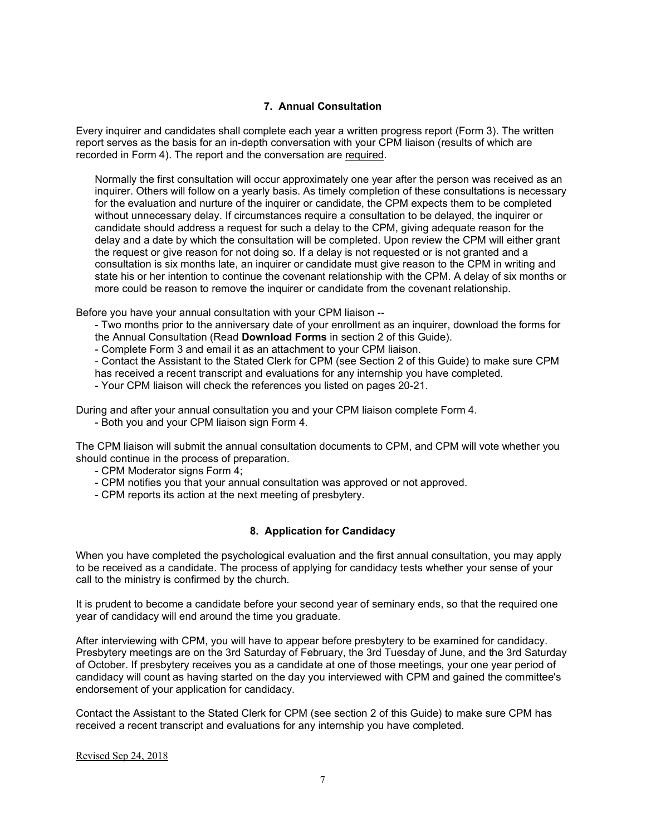## **7. Annual Consultation**

Every inquirer and candidates shall complete each year a written progress report (Form 3). The written report serves as the basis for an in-depth conversation with your CPM liaison (results of which are recorded in Form 4). The report and the conversation are required.

Normally the first consultation will occur approximately one year after the person was received as an inquirer. Others will follow on a yearly basis. As timely completion of these consultations is necessary for the evaluation and nurture of the inquirer or candidate, the CPM expects them to be completed without unnecessary delay. If circumstances require a consultation to be delayed, the inquirer or candidate should address a request for such a delay to the CPM, giving adequate reason for the delay and a date by which the consultation will be completed. Upon review the CPM will either grant the request or give reason for not doing so. If a delay is not requested or is not granted and a consultation is six months late, an inquirer or candidate must give reason to the CPM in writing and state his or her intention to continue the covenant relationship with the CPM. A delay of six months or more could be reason to remove the inquirer or candidate from the covenant relationship.

Before you have your annual consultation with your CPM liaison --

- Two months prior to the anniversary date of your enrollment as an inquirer, download the forms for the Annual Consultation (Read **Download Forms** in section 2 of this Guide).

- Complete Form 3 and email it as an attachment to your CPM liaison.

- Contact the Assistant to the Stated Clerk for CPM (see Section 2 of this Guide) to make sure CPM has received a recent transcript and evaluations for any internship you have completed.

- Your CPM liaison will check the references you listed on pages 20-21.

During and after your annual consultation you and your CPM liaison complete Form 4.

- Both you and your CPM liaison sign Form 4.

The CPM liaison will submit the annual consultation documents to CPM, and CPM will vote whether you should continue in the process of preparation.

- CPM Moderator signs Form 4;
- CPM notifies you that your annual consultation was approved or not approved.
- CPM reports its action at the next meeting of presbytery.

# **8. Application for Candidacy**

When you have completed the psychological evaluation and the first annual consultation, you may apply to be received as a candidate. The process of applying for candidacy tests whether your sense of your call to the ministry is confirmed by the church.

It is prudent to become a candidate before your second year of seminary ends, so that the required one year of candidacy will end around the time you graduate.

After interviewing with CPM, you will have to appear before presbytery to be examined for candidacy. Presbytery meetings are on the 3rd Saturday of February, the 3rd Tuesday of June, and the 3rd Saturday of October. If presbytery receives you as a candidate at one of those meetings, your one year period of candidacy will count as having started on the day you interviewed with CPM and gained the committee's endorsement of your application for candidacy.

Contact the Assistant to the Stated Clerk for CPM (see section 2 of this Guide) to make sure CPM has received a recent transcript and evaluations for any internship you have completed.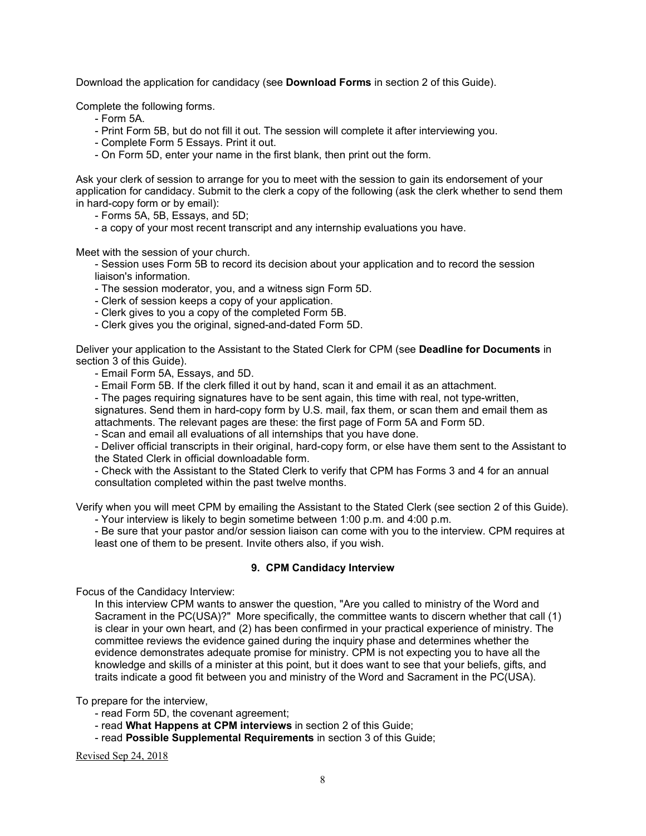Download the application for candidacy (see **Download Forms** in section 2 of this Guide).

Complete the following forms.

- Form 5A.
- Print Form 5B, but do not fill it out. The session will complete it after interviewing you.
- Complete Form 5 Essays. Print it out.
- On Form 5D, enter your name in the first blank, then print out the form.

Ask your clerk of session to arrange for you to meet with the session to gain its endorsement of your application for candidacy. Submit to the clerk a copy of the following (ask the clerk whether to send them in hard-copy form or by email):

- Forms 5A, 5B, Essays, and 5D;
- a copy of your most recent transcript and any internship evaluations you have.

Meet with the session of your church.

- Session uses Form 5B to record its decision about your application and to record the session liaison's information.

- The session moderator, you, and a witness sign Form 5D.
- Clerk of session keeps a copy of your application.
- Clerk gives to you a copy of the completed Form 5B.
- Clerk gives you the original, signed-and-dated Form 5D.

Deliver your application to the Assistant to the Stated Clerk for CPM (see **Deadline for Documents** in section 3 of this Guide).

- Email Form 5A, Essays, and 5D.
- Email Form 5B. If the clerk filled it out by hand, scan it and email it as an attachment.
- The pages requiring signatures have to be sent again, this time with real, not type-written, signatures. Send them in hard-copy form by U.S. mail, fax them, or scan them and email them as
- attachments. The relevant pages are these: the first page of Form 5A and Form 5D.

- Scan and email all evaluations of all internships that you have done.

- Deliver official transcripts in their original, hard-copy form, or else have them sent to the Assistant to the Stated Clerk in official downloadable form.

- Check with the Assistant to the Stated Clerk to verify that CPM has Forms 3 and 4 for an annual consultation completed within the past twelve months.

Verify when you will meet CPM by emailing the Assistant to the Stated Clerk (see section 2 of this Guide).

- Your interview is likely to begin sometime between 1:00 p.m. and 4:00 p.m.

- Be sure that your pastor and/or session liaison can come with you to the interview. CPM requires at least one of them to be present. Invite others also, if you wish.

### **9. CPM Candidacy Interview**

Focus of the Candidacy Interview:

In this interview CPM wants to answer the question, "Are you called to ministry of the Word and Sacrament in the PC(USA)?" More specifically, the committee wants to discern whether that call (1) is clear in your own heart, and (2) has been confirmed in your practical experience of ministry. The committee reviews the evidence gained during the inquiry phase and determines whether the evidence demonstrates adequate promise for ministry. CPM is not expecting you to have all the knowledge and skills of a minister at this point, but it does want to see that your beliefs, gifts, and traits indicate a good fit between you and ministry of the Word and Sacrament in the PC(USA).

To prepare for the interview,

- read Form 5D, the covenant agreement;
- read **What Happens at CPM interviews** in section 2 of this Guide;
- read **Possible Supplemental Requirements** in section 3 of this Guide;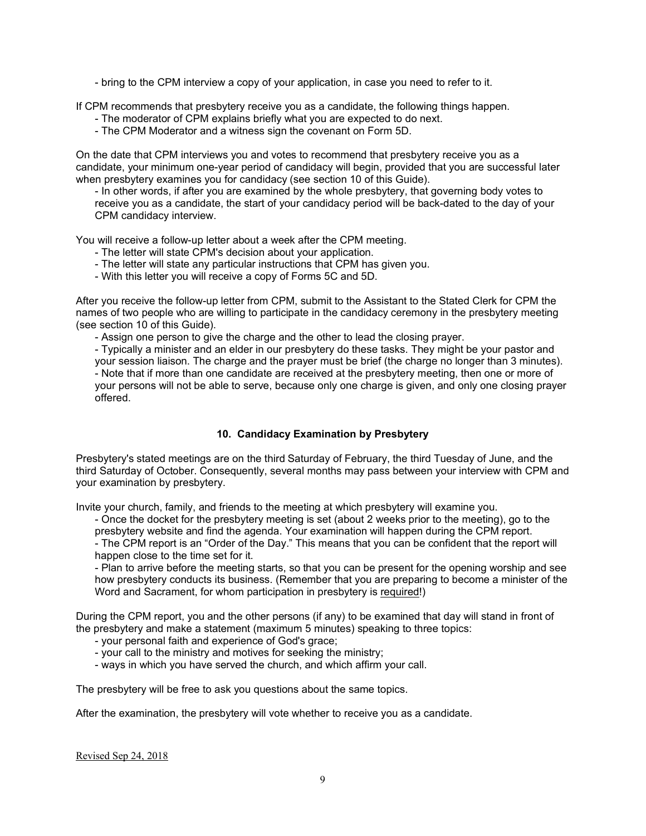- bring to the CPM interview a copy of your application, in case you need to refer to it.

If CPM recommends that presbytery receive you as a candidate, the following things happen.

- The moderator of CPM explains briefly what you are expected to do next.
- The CPM Moderator and a witness sign the covenant on Form 5D.

On the date that CPM interviews you and votes to recommend that presbytery receive you as a candidate, your minimum one-year period of candidacy will begin, provided that you are successful later when presbytery examines you for candidacy (see section 10 of this Guide).

- In other words, if after you are examined by the whole presbytery, that governing body votes to receive you as a candidate, the start of your candidacy period will be back-dated to the day of your CPM candidacy interview.

You will receive a follow-up letter about a week after the CPM meeting.

- The letter will state CPM's decision about your application.
- The letter will state any particular instructions that CPM has given you.
- With this letter you will receive a copy of Forms 5C and 5D.

After you receive the follow-up letter from CPM, submit to the Assistant to the Stated Clerk for CPM the names of two people who are willing to participate in the candidacy ceremony in the presbytery meeting (see section 10 of this Guide).

- Assign one person to give the charge and the other to lead the closing prayer.

- Typically a minister and an elder in our presbytery do these tasks. They might be your pastor and your session liaison. The charge and the prayer must be brief (the charge no longer than 3 minutes).

- Note that if more than one candidate are received at the presbytery meeting, then one or more of your persons will not be able to serve, because only one charge is given, and only one closing prayer offered.

# **10. Candidacy Examination by Presbytery**

Presbytery's stated meetings are on the third Saturday of February, the third Tuesday of June, and the third Saturday of October. Consequently, several months may pass between your interview with CPM and your examination by presbytery.

Invite your church, family, and friends to the meeting at which presbytery will examine you.

- Once the docket for the presbytery meeting is set (about 2 weeks prior to the meeting), go to the presbytery website and find the agenda. Your examination will happen during the CPM report.

- The CPM report is an "Order of the Day." This means that you can be confident that the report will happen close to the time set for it.

- Plan to arrive before the meeting starts, so that you can be present for the opening worship and see how presbytery conducts its business. (Remember that you are preparing to become a minister of the Word and Sacrament, for whom participation in presbytery is required!)

During the CPM report, you and the other persons (if any) to be examined that day will stand in front of the presbytery and make a statement (maximum 5 minutes) speaking to three topics:

- your personal faith and experience of God's grace;
- your call to the ministry and motives for seeking the ministry;
- ways in which you have served the church, and which affirm your call.

The presbytery will be free to ask you questions about the same topics.

After the examination, the presbytery will vote whether to receive you as a candidate.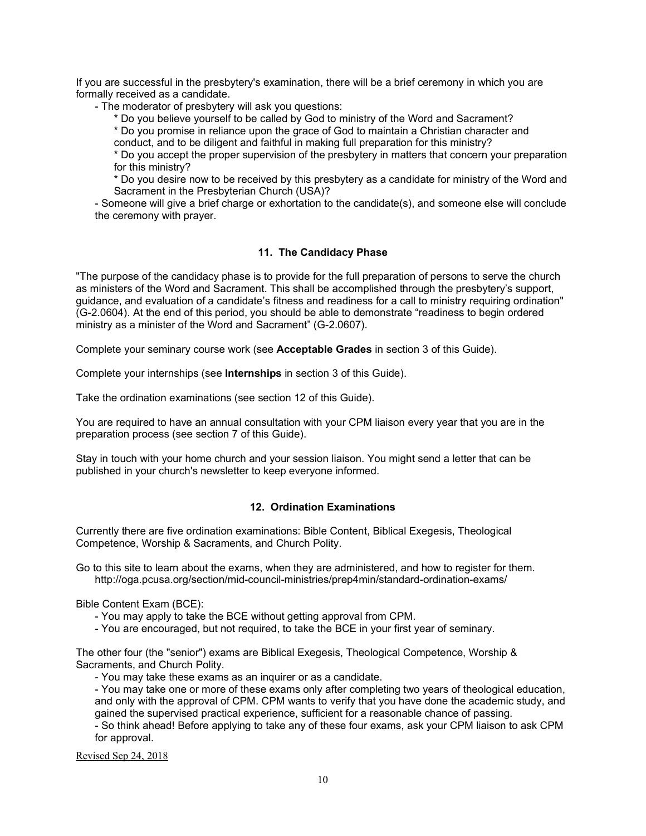If you are successful in the presbytery's examination, there will be a brief ceremony in which you are formally received as a candidate.

- The moderator of presbytery will ask you questions:

\* Do you believe yourself to be called by God to ministry of the Word and Sacrament?

\* Do you promise in reliance upon the grace of God to maintain a Christian character and conduct, and to be diligent and faithful in making full preparation for this ministry?

\* Do you accept the proper supervision of the presbytery in matters that concern your preparation for this ministry?

\* Do you desire now to be received by this presbytery as a candidate for ministry of the Word and Sacrament in the Presbyterian Church (USA)?

- Someone will give a brief charge or exhortation to the candidate(s), and someone else will conclude the ceremony with prayer.

### **11. The Candidacy Phase**

"The purpose of the candidacy phase is to provide for the full preparation of persons to serve the church as ministers of the Word and Sacrament. This shall be accomplished through the presbytery's support, guidance, and evaluation of a candidate's fitness and readiness for a call to ministry requiring ordination" (G-2.0604). At the end of this period, you should be able to demonstrate "readiness to begin ordered ministry as a minister of the Word and Sacrament" (G-2.0607).

Complete your seminary course work (see **Acceptable Grades** in section 3 of this Guide).

Complete your internships (see **Internships** in section 3 of this Guide).

Take the ordination examinations (see section 12 of this Guide).

You are required to have an annual consultation with your CPM liaison every year that you are in the preparation process (see section 7 of this Guide).

Stay in touch with your home church and your session liaison. You might send a letter that can be published in your church's newsletter to keep everyone informed.

### **12. Ordination Examinations**

Currently there are five ordination examinations: Bible Content, Biblical Exegesis, Theological Competence, Worship & Sacraments, and Church Polity.

Go to this site to learn about the exams, when they are administered, and how to register for them. http://oga.pcusa.org/section/mid-council-ministries/prep4min/standard-ordination-exams/

Bible Content Exam (BCE):

- You may apply to take the BCE without getting approval from CPM.
- You are encouraged, but not required, to take the BCE in your first year of seminary.

The other four (the "senior") exams are Biblical Exegesis, Theological Competence, Worship & Sacraments, and Church Polity.

- You may take these exams as an inquirer or as a candidate.

- You may take one or more of these exams only after completing two years of theological education, and only with the approval of CPM. CPM wants to verify that you have done the academic study, and gained the supervised practical experience, sufficient for a reasonable chance of passing.

- So think ahead! Before applying to take any of these four exams, ask your CPM liaison to ask CPM for approval.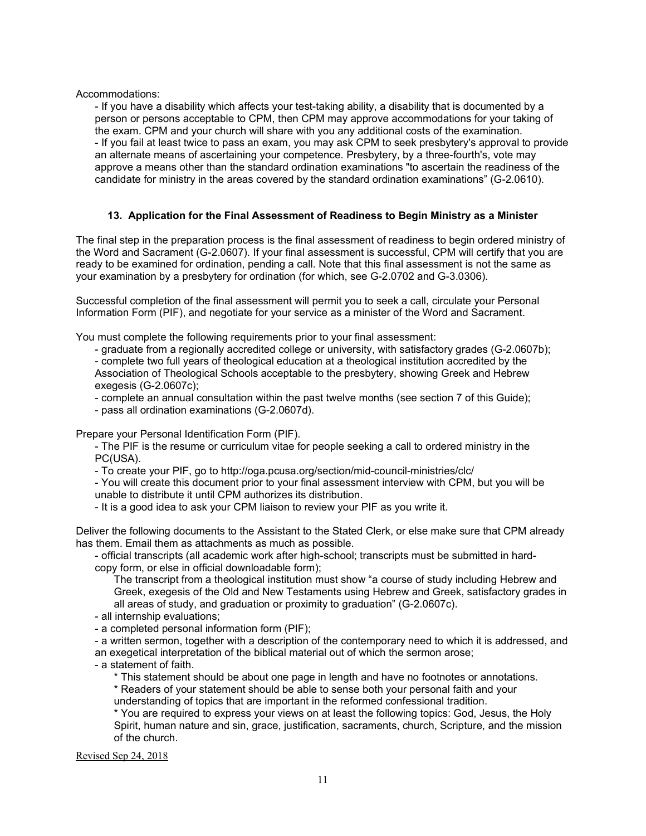Accommodations:

- If you have a disability which affects your test-taking ability, a disability that is documented by a person or persons acceptable to CPM, then CPM may approve accommodations for your taking of the exam. CPM and your church will share with you any additional costs of the examination. - If you fail at least twice to pass an exam, you may ask CPM to seek presbytery's approval to provide an alternate means of ascertaining your competence. Presbytery, by a three-fourth's, vote may approve a means other than the standard ordination examinations "to ascertain the readiness of the candidate for ministry in the areas covered by the standard ordination examinations" (G-2.0610).

# **13. Application for the Final Assessment of Readiness to Begin Ministry as a Minister**

The final step in the preparation process is the final assessment of readiness to begin ordered ministry of the Word and Sacrament (G-2.0607). If your final assessment is successful, CPM will certify that you are ready to be examined for ordination, pending a call. Note that this final assessment is not the same as your examination by a presbytery for ordination (for which, see G-2.0702 and G-3.0306).

Successful completion of the final assessment will permit you to seek a call, circulate your Personal Information Form (PIF), and negotiate for your service as a minister of the Word and Sacrament.

You must complete the following requirements prior to your final assessment:

- graduate from a regionally accredited college or university, with satisfactory grades (G-2.0607b);

- complete two full years of theological education at a theological institution accredited by the Association of Theological Schools acceptable to the presbytery, showing Greek and Hebrew exegesis (G-2.0607c);

- complete an annual consultation within the past twelve months (see section 7 of this Guide);

- pass all ordination examinations (G-2.0607d).

Prepare your Personal Identification Form (PIF).

- The PIF is the resume or curriculum vitae for people seeking a call to ordered ministry in the PC(USA).

- To create your PIF, go to http://oga.pcusa.org/section/mid-council-ministries/clc/

- You will create this document prior to your final assessment interview with CPM, but you will be unable to distribute it until CPM authorizes its distribution.

- It is a good idea to ask your CPM liaison to review your PIF as you write it.

Deliver the following documents to the Assistant to the Stated Clerk, or else make sure that CPM already has them. Email them as attachments as much as possible.

- official transcripts (all academic work after high-school; transcripts must be submitted in hardcopy form, or else in official downloadable form);

The transcript from a theological institution must show "a course of study including Hebrew and Greek, exegesis of the Old and New Testaments using Hebrew and Greek, satisfactory grades in all areas of study, and graduation or proximity to graduation" (G-2.0607c).

- all internship evaluations;

- a completed personal information form (PIF);

- a written sermon, together with a description of the contemporary need to which it is addressed, and an exegetical interpretation of the biblical material out of which the sermon arose;

- a statement of faith.

\* This statement should be about one page in length and have no footnotes or annotations.

\* Readers of your statement should be able to sense both your personal faith and your understanding of topics that are important in the reformed confessional tradition.

\* You are required to express your views on at least the following topics: God, Jesus, the Holy Spirit, human nature and sin, grace, justification, sacraments, church, Scripture, and the mission of the church.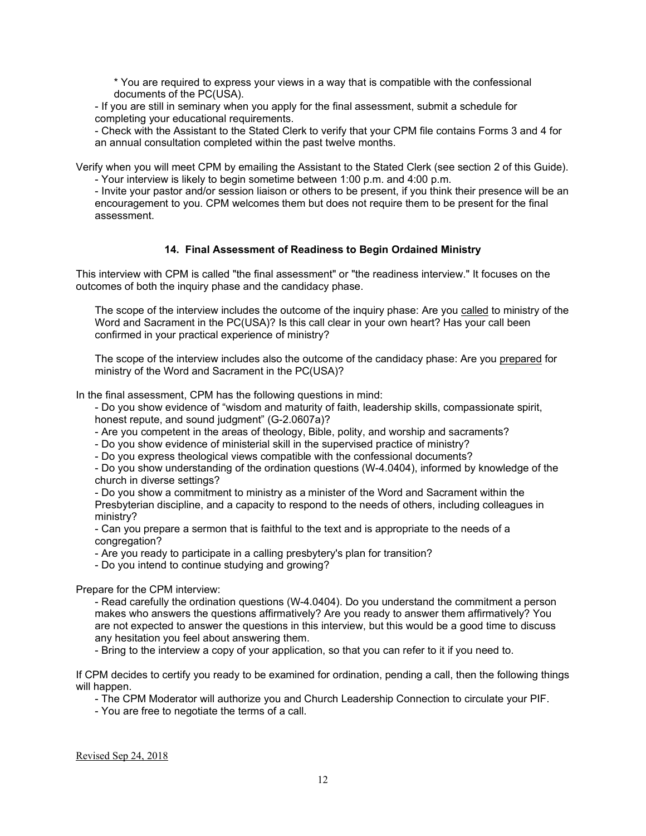\* You are required to express your views in a way that is compatible with the confessional documents of the PC(USA).

- If you are still in seminary when you apply for the final assessment, submit a schedule for completing your educational requirements.

- Check with the Assistant to the Stated Clerk to verify that your CPM file contains Forms 3 and 4 for an annual consultation completed within the past twelve months.

Verify when you will meet CPM by emailing the Assistant to the Stated Clerk (see section 2 of this Guide). - Your interview is likely to begin sometime between 1:00 p.m. and 4:00 p.m.

- Invite your pastor and/or session liaison or others to be present, if you think their presence will be an encouragement to you. CPM welcomes them but does not require them to be present for the final assessment.

## **14. Final Assessment of Readiness to Begin Ordained Ministry**

This interview with CPM is called "the final assessment" or "the readiness interview." It focuses on the outcomes of both the inquiry phase and the candidacy phase.

The scope of the interview includes the outcome of the inquiry phase: Are you called to ministry of the Word and Sacrament in the PC(USA)? Is this call clear in your own heart? Has your call been confirmed in your practical experience of ministry?

The scope of the interview includes also the outcome of the candidacy phase: Are you prepared for ministry of the Word and Sacrament in the PC(USA)?

In the final assessment, CPM has the following questions in mind:

- Do you show evidence of "wisdom and maturity of faith, leadership skills, compassionate spirit, honest repute, and sound judgment" (G-2.0607a)?

- Are you competent in the areas of theology, Bible, polity, and worship and sacraments?

- Do you show evidence of ministerial skill in the supervised practice of ministry?

- Do you express theological views compatible with the confessional documents?

- Do you show understanding of the ordination questions (W-4.0404), informed by knowledge of the church in diverse settings?

- Do you show a commitment to ministry as a minister of the Word and Sacrament within the Presbyterian discipline, and a capacity to respond to the needs of others, including colleagues in ministry?

- Can you prepare a sermon that is faithful to the text and is appropriate to the needs of a congregation?

- Are you ready to participate in a calling presbytery's plan for transition?

- Do you intend to continue studying and growing?

Prepare for the CPM interview:

- Read carefully the ordination questions (W-4.0404). Do you understand the commitment a person makes who answers the questions affirmatively? Are you ready to answer them affirmatively? You are not expected to answer the questions in this interview, but this would be a good time to discuss any hesitation you feel about answering them.

- Bring to the interview a copy of your application, so that you can refer to it if you need to.

If CPM decides to certify you ready to be examined for ordination, pending a call, then the following things will happen.

- The CPM Moderator will authorize you and Church Leadership Connection to circulate your PIF.

- You are free to negotiate the terms of a call.